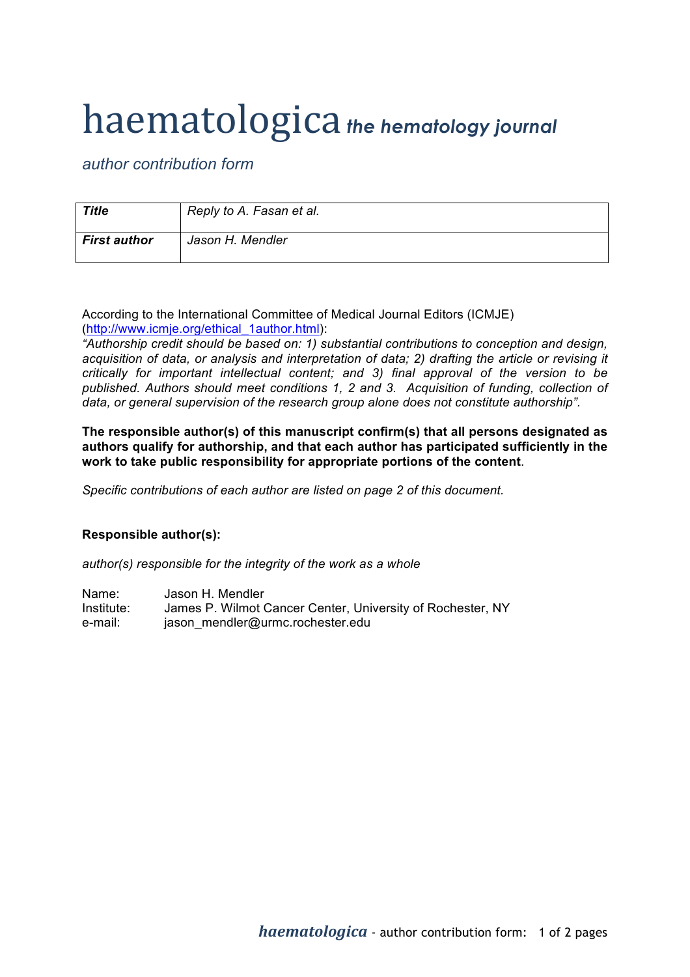## haematologica *the hematology journal*

*author contribution form*

| <b>Title</b>        | Reply to A. Fasan et al. |
|---------------------|--------------------------|
| <b>First author</b> | Jason H. Mendler         |

According to the International Committee of Medical Journal Editors (ICMJE) (http://www.icmje.org/ethical\_1author.html):

*"Authorship credit should be based on: 1) substantial contributions to conception and design, acquisition of data, or analysis and interpretation of data; 2) drafting the article or revising it critically for important intellectual content; and 3) final approval of the version to be published. Authors should meet conditions 1, 2 and 3. Acquisition of funding, collection of data, or general supervision of the research group alone does not constitute authorship".*

**The responsible author(s) of this manuscript confirm(s) that all persons designated as authors qualify for authorship, and that each author has participated sufficiently in the work to take public responsibility for appropriate portions of the content**.

*Specific contributions of each author are listed on page 2 of this document.*

## **Responsible author(s):**

*author(s) responsible for the integrity of the work as a whole*

| Name:      | Jason H. Mendler                                           |
|------------|------------------------------------------------------------|
| Institute: | James P. Wilmot Cancer Center, University of Rochester, NY |
| e-mail:    | jason mendler@urmc.rochester.edu                           |